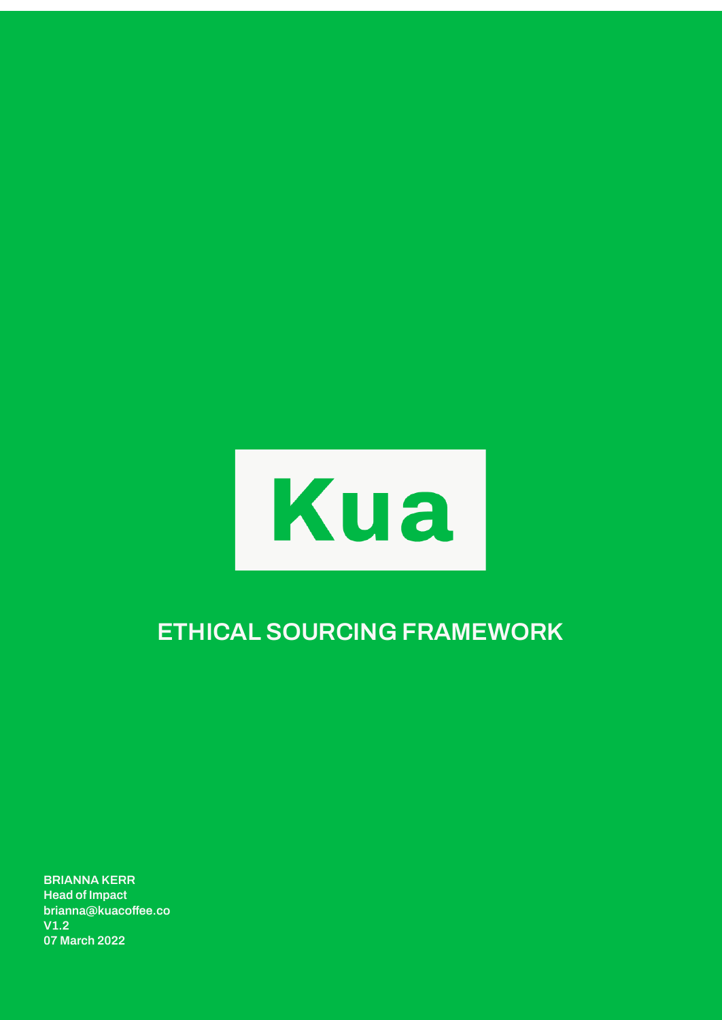

# **ETHICAL SOURCING FRAMEWORK**

**BRIANNA KERR Head of Impact brianna@kuacoffee.co V1.2 07 March 2022**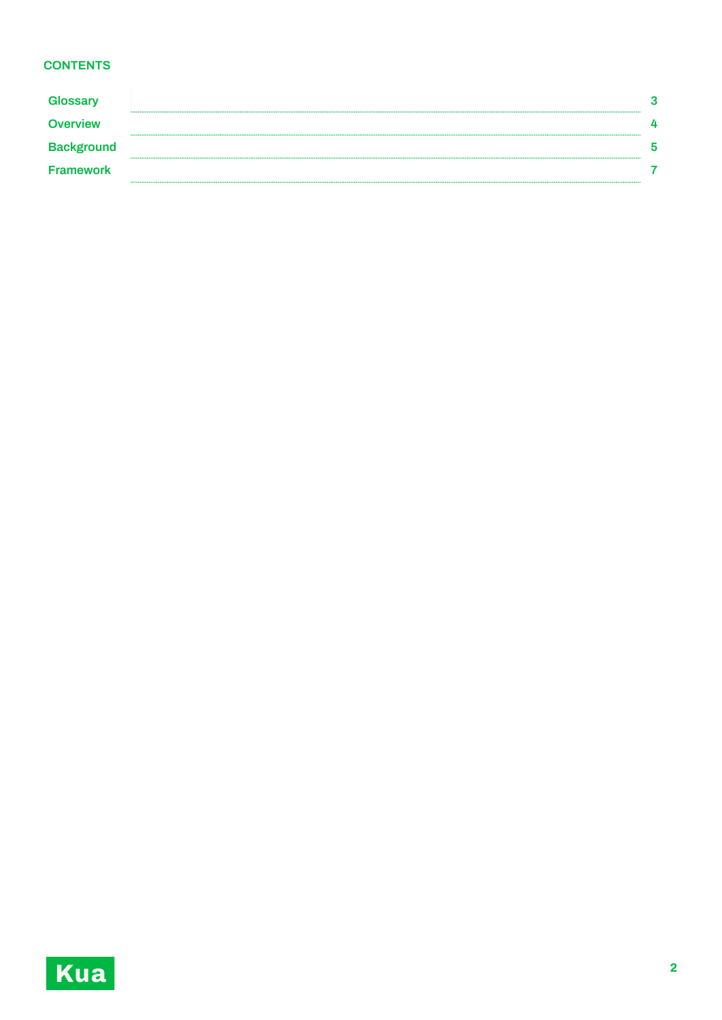## **CONTENTS**

| <b>Glossary</b>   |  |
|-------------------|--|
| <b>Overview</b>   |  |
| <b>Background</b> |  |
| <b>Framework</b>  |  |

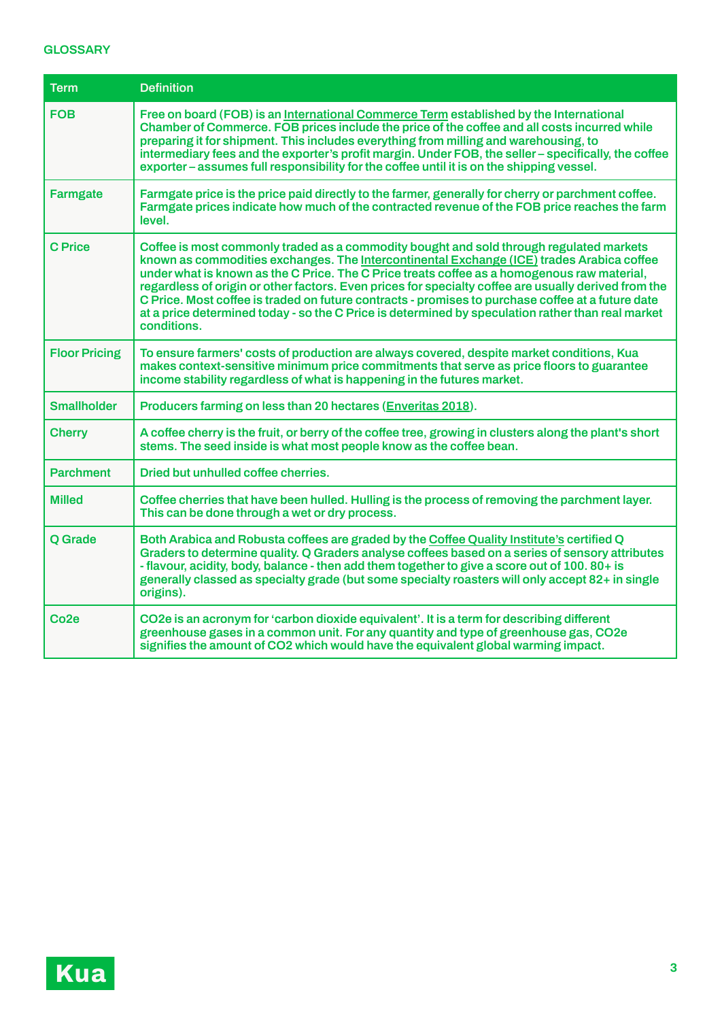### **GLOSSARY**

| Term                 | <b>Definition</b>                                                                                                                                                                                                                                                                                                                                                                                                                                                                                                                                                                                                    |  |  |
|----------------------|----------------------------------------------------------------------------------------------------------------------------------------------------------------------------------------------------------------------------------------------------------------------------------------------------------------------------------------------------------------------------------------------------------------------------------------------------------------------------------------------------------------------------------------------------------------------------------------------------------------------|--|--|
| <b>FOB</b>           | Free on board (FOB) is an International Commerce Term established by the International<br>Chamber of Commerce. FOB prices include the price of the coffee and all costs incurred while<br>preparing it for shipment. This includes everything from milling and warehousing, to<br>intermediary fees and the exporter's profit margin. Under FOB, the seller – specifically, the coffee<br>exporter – assumes full responsibility for the coffee until it is on the shipping vessel.                                                                                                                                  |  |  |
| <b>Farmgate</b>      | Farmgate price is the price paid directly to the farmer, generally for cherry or parchment coffee.<br>Farmgate prices indicate how much of the contracted revenue of the FOB price reaches the farm<br>level.                                                                                                                                                                                                                                                                                                                                                                                                        |  |  |
| <b>C</b> Price       | Coffee is most commonly traded as a commodity bought and sold through regulated markets<br>known as commodities exchanges. The Intercontinental Exchange (ICE) trades Arabica coffee<br>under what is known as the C Price. The C Price treats coffee as a homogenous raw material,<br>regardless of origin or other factors. Even prices for specialty coffee are usually derived from the<br>C Price. Most coffee is traded on future contracts - promises to purchase coffee at a future date<br>at a price determined today - so the C Price is determined by speculation rather than real market<br>conditions. |  |  |
| <b>Floor Pricing</b> | To ensure farmers' costs of production are always covered, despite market conditions, Kua<br>makes context-sensitive minimum price commitments that serve as price floors to guarantee<br>income stability regardless of what is happening in the futures market.                                                                                                                                                                                                                                                                                                                                                    |  |  |
| <b>Smallholder</b>   | Producers farming on less than 20 hectares (Enveritas 2018).                                                                                                                                                                                                                                                                                                                                                                                                                                                                                                                                                         |  |  |
| <b>Cherry</b>        | A coffee cherry is the fruit, or berry of the coffee tree, growing in clusters along the plant's short<br>stems. The seed inside is what most people know as the coffee bean.                                                                                                                                                                                                                                                                                                                                                                                                                                        |  |  |
| <b>Parchment</b>     | Dried but unhulled coffee cherries.                                                                                                                                                                                                                                                                                                                                                                                                                                                                                                                                                                                  |  |  |
| <b>Milled</b>        | Coffee cherries that have been hulled. Hulling is the process of removing the parchment layer.<br>This can be done through a wet or dry process.                                                                                                                                                                                                                                                                                                                                                                                                                                                                     |  |  |
| Q Grade              | Both Arabica and Robusta coffees are graded by the Coffee Quality Institute's certified Q<br>Graders to determine quality. Q Graders analyse coffees based on a series of sensory attributes<br>- flavour, acidity, body, balance - then add them together to give a score out of 100. 80+ is<br>generally classed as specialty grade (but some specialty roasters will only accept 82+ in single<br>origins).                                                                                                                                                                                                       |  |  |
| Co <sub>2e</sub>     | CO2e is an acronym for 'carbon dioxide equivalent'. It is a term for describing different<br>greenhouse gases in a common unit. For any quantity and type of greenhouse gas, CO2e<br>signifies the amount of CO2 which would have the equivalent global warming impact.                                                                                                                                                                                                                                                                                                                                              |  |  |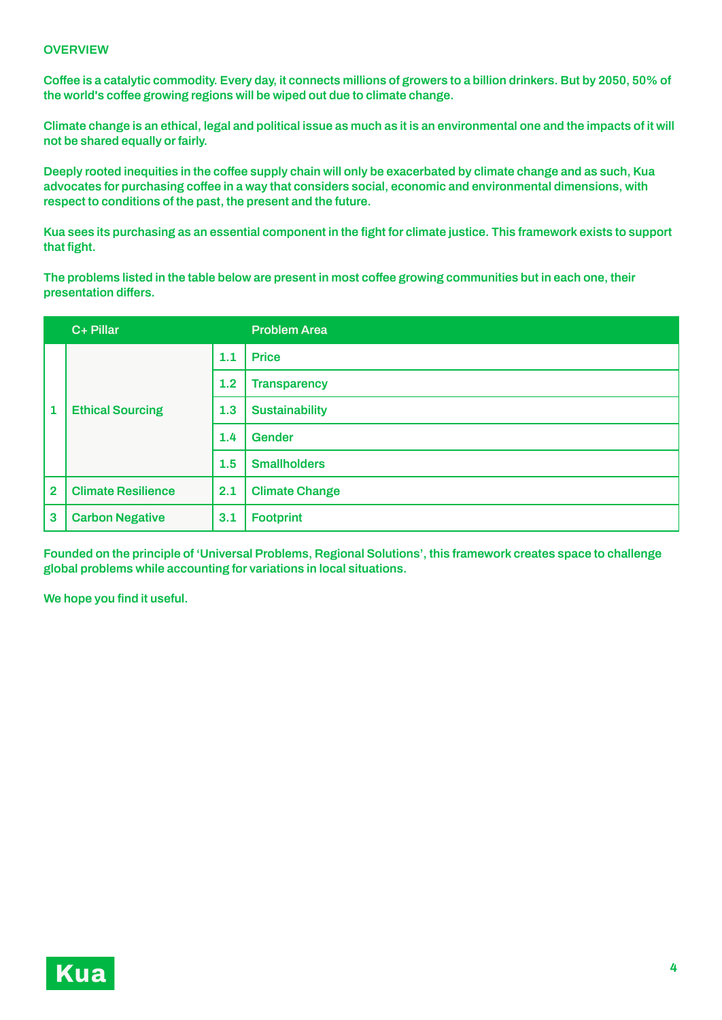#### **OVERVIEW**

Coffee is a catalytic commodity. Every day, it connects millions of growers to a billion drinkers. But by 2050, 50% of **the world's coffee growing regions will be wiped out due to climate change.**

Climate change is an ethical, legal and political issue as much as it is an environmental one and the impacts of it will **not be shared equally orfairly.**

Deeply rooted inequities in the coffee supply chain will only be exacerbated by climate change and as such, Kua **advocates for purchasing coffee in a way that considers social, economic and environmental dimensions, with respect to conditions of the past, the present and the future.**

Kua sees its purchasing as an essential component in the fight for climate justice. This framework exists to support **that fight.**

The problems listed in the table below are present in most coffee growing communities but in each one, their **presentation differs.**

|                | C+ Pillar                 |     | <b>Problem Area</b>   |
|----------------|---------------------------|-----|-----------------------|
| $\mathbf{1}$   |                           | 1.1 | <b>Price</b>          |
|                |                           | 1.2 | <b>Transparency</b>   |
|                | <b>Ethical Sourcing</b>   | 1.3 | <b>Sustainability</b> |
|                |                           | 1.4 | Gender                |
|                |                           | 1.5 | <b>Smallholders</b>   |
| $\overline{2}$ | <b>Climate Resilience</b> | 2.1 | <b>Climate Change</b> |
| 3              | <b>Carbon Negative</b>    | 3.1 | <b>Footprint</b>      |

**Founded on the principle of 'Universal Problems, Regional Solutions', this framework creates space to challenge global problems while accounting for variations in local situations.**

**We hope you find it useful.**

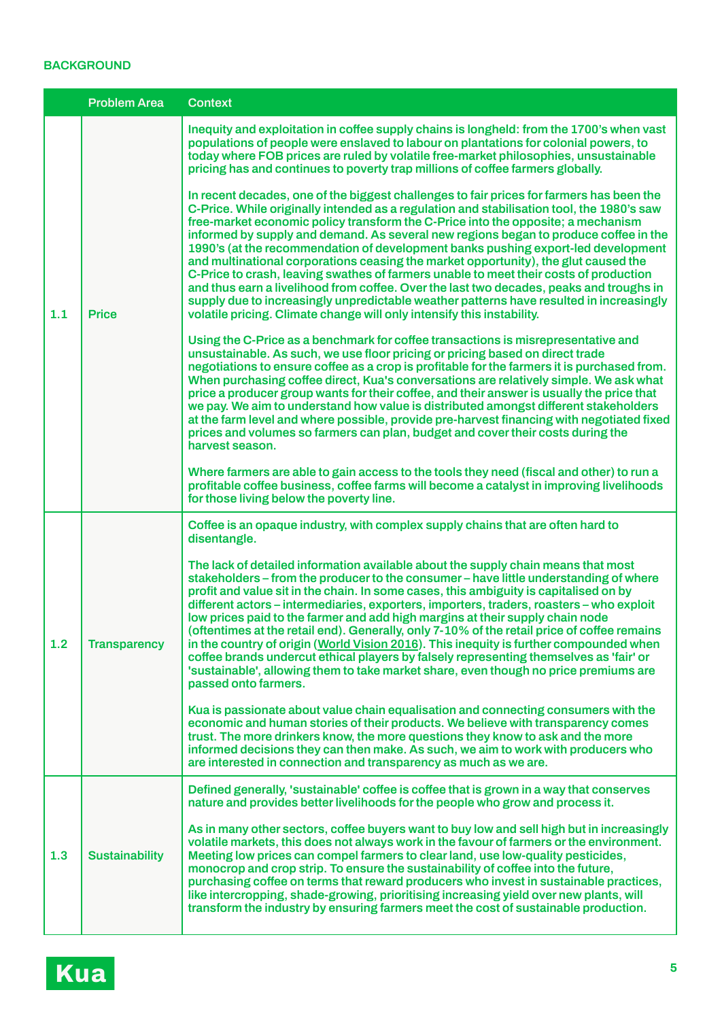### **BACKGROUND**

|     | <b>Problem Area</b><br><b>Context</b> |                                                                                                                                                                                                                                                                                                                                                                                                                                                                                                                                                                                                                                                                                                                                                                                                                                                                                                        |
|-----|---------------------------------------|--------------------------------------------------------------------------------------------------------------------------------------------------------------------------------------------------------------------------------------------------------------------------------------------------------------------------------------------------------------------------------------------------------------------------------------------------------------------------------------------------------------------------------------------------------------------------------------------------------------------------------------------------------------------------------------------------------------------------------------------------------------------------------------------------------------------------------------------------------------------------------------------------------|
|     |                                       | Inequity and exploitation in coffee supply chains is longheld: from the 1700's when vast<br>populations of people were enslaved to labour on plantations for colonial powers, to<br>today where FOB prices are ruled by volatile free-market philosophies, unsustainable<br>pricing has and continues to poverty trap millions of coffee farmers globally.                                                                                                                                                                                                                                                                                                                                                                                                                                                                                                                                             |
| 1.1 | <b>Price</b>                          | In recent decades, one of the biggest challenges to fair prices for farmers has been the<br>C-Price. While originally intended as a regulation and stabilisation tool, the 1980's saw<br>free-market economic policy transform the C-Price into the opposite; a mechanism<br>informed by supply and demand. As several new regions began to produce coffee in the<br>1990's (at the recommendation of development banks pushing export-led development<br>and multinational corporations ceasing the market opportunity), the glut caused the<br>C-Price to crash, leaving swathes of farmers unable to meet their costs of production<br>and thus earn a livelihood from coffee. Over the last two decades, peaks and troughs in<br>supply due to increasingly unpredictable weather patterns have resulted in increasingly<br>volatile pricing. Climate change will only intensify this instability. |
|     |                                       | Using the C-Price as a benchmark for coffee transactions is misrepresentative and<br>unsustainable. As such, we use floor pricing or pricing based on direct trade<br>negotiations to ensure coffee as a crop is profitable for the farmers it is purchased from.<br>When purchasing coffee direct, Kua's conversations are relatively simple. We ask what<br>price a producer group wants for their coffee, and their answer is usually the price that<br>we pay. We aim to understand how value is distributed amongst different stakeholders<br>at the farm level and where possible, provide pre-harvest financing with negotiated fixed<br>prices and volumes so farmers can plan, budget and cover their costs during the<br>harvest season.                                                                                                                                                     |
|     |                                       | Where farmers are able to gain access to the tools they need (fiscal and other) to run a<br>profitable coffee business, coffee farms will become a catalyst in improving livelihoods<br>for those living below the poverty line.                                                                                                                                                                                                                                                                                                                                                                                                                                                                                                                                                                                                                                                                       |
|     |                                       | Coffee is an opaque industry, with complex supply chains that are often hard to<br>disentangle.                                                                                                                                                                                                                                                                                                                                                                                                                                                                                                                                                                                                                                                                                                                                                                                                        |
| 1.2 | <b>Transparency</b>                   | The lack of detailed information available about the supply chain means that most<br>stakeholders – from the producer to the consumer – have little understanding of where<br>profit and value sit in the chain. In some cases, this ambiguity is capitalised on by<br>different actors – intermediaries, exporters, importers, traders, roasters – who exploit<br>low prices paid to the farmer and add high margins at their supply chain node<br>(oftentimes at the retail end). Generally, only 7-10% of the retail price of coffee remains<br>in the country of origin (World Vision 2016). This inequity is further compounded when<br>coffee brands undercut ethical players by falsely representing themselves as 'fair' or<br>'sustainable', allowing them to take market share, even though no price premiums are<br>passed onto farmers.                                                    |
|     |                                       | Kua is passionate about value chain equalisation and connecting consumers with the<br>economic and human stories of their products. We believe with transparency comes<br>trust. The more drinkers know, the more questions they know to ask and the more<br>informed decisions they can then make. As such, we aim to work with producers who<br>are interested in connection and transparency as much as we are.                                                                                                                                                                                                                                                                                                                                                                                                                                                                                     |
|     |                                       | Defined generally, 'sustainable' coffee is coffee that is grown in a way that conserves<br>nature and provides better livelihoods for the people who grow and process it.                                                                                                                                                                                                                                                                                                                                                                                                                                                                                                                                                                                                                                                                                                                              |
| 1.3 | <b>Sustainability</b>                 | As in many other sectors, coffee buyers want to buy low and sell high but in increasingly<br>volatile markets, this does not always work in the favour of farmers or the environment.<br>Meeting low prices can compel farmers to clear land, use low-quality pesticides,<br>monocrop and crop strip. To ensure the sustainability of coffee into the future,<br>purchasing coffee on terms that reward producers who invest in sustainable practices,<br>like intercropping, shade-growing, prioritising increasing yield over new plants, will<br>transform the industry by ensuring farmers meet the cost of sustainable production.                                                                                                                                                                                                                                                                |
|     |                                       |                                                                                                                                                                                                                                                                                                                                                                                                                                                                                                                                                                                                                                                                                                                                                                                                                                                                                                        |

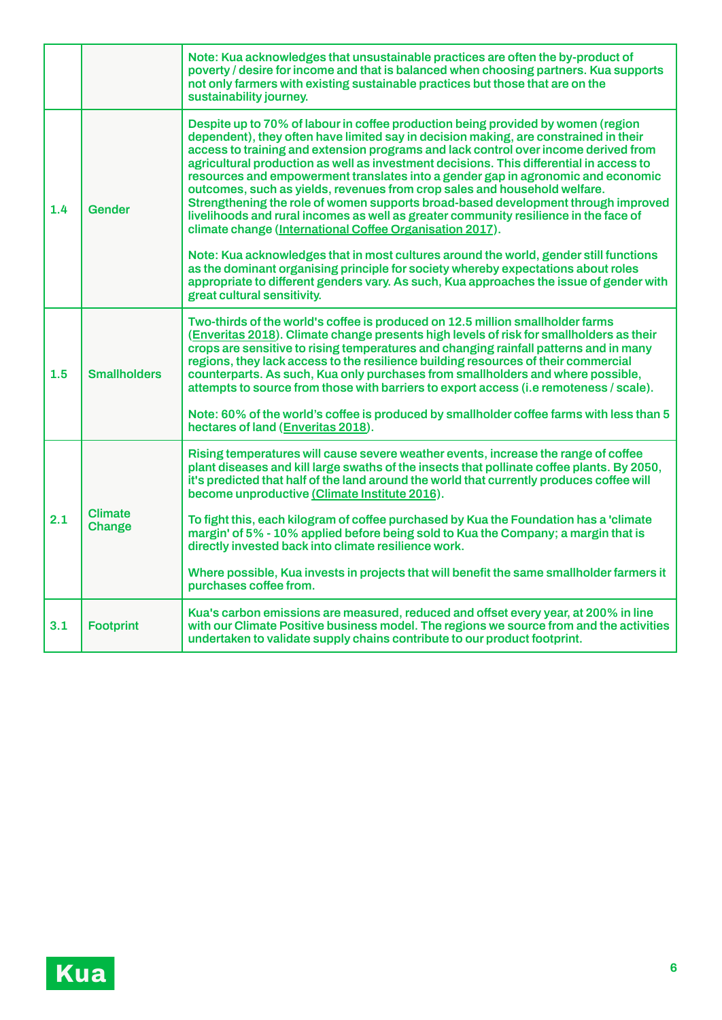|     |                          | Note: Kua acknowledges that unsustainable practices are often the by-product of<br>poverty / desire for income and that is balanced when choosing partners. Kua supports<br>not only farmers with existing sustainable practices but those that are on the<br>sustainability journey.                                                                                                                                                                                                                                                                                                                                                                                                                                                                                |
|-----|--------------------------|----------------------------------------------------------------------------------------------------------------------------------------------------------------------------------------------------------------------------------------------------------------------------------------------------------------------------------------------------------------------------------------------------------------------------------------------------------------------------------------------------------------------------------------------------------------------------------------------------------------------------------------------------------------------------------------------------------------------------------------------------------------------|
| 1.4 | <b>Gender</b>            | Despite up to 70% of labour in coffee production being provided by women (region<br>dependent), they often have limited say in decision making, are constrained in their<br>access to training and extension programs and lack control over income derived from<br>agricultural production as well as investment decisions. This differential in access to<br>resources and empowerment translates into a gender gap in agronomic and economic<br>outcomes, such as yields, revenues from crop sales and household welfare.<br>Strengthening the role of women supports broad-based development through improved<br>livelihoods and rural incomes as well as greater community resilience in the face of<br>climate change (International Coffee Organisation 2017). |
|     |                          | Note: Kua acknowledges that in most cultures around the world, gender still functions<br>as the dominant organising principle for society whereby expectations about roles<br>appropriate to different genders vary. As such, Kua approaches the issue of gender with<br>great cultural sensitivity.                                                                                                                                                                                                                                                                                                                                                                                                                                                                 |
| 1.5 | <b>Smallholders</b>      | Two-thirds of the world's coffee is produced on 12.5 million smallholder farms<br>(Enveritas 2018). Climate change presents high levels of risk for smallholders as their<br>crops are sensitive to rising temperatures and changing rainfall patterns and in many<br>regions, they lack access to the resilience building resources of their commercial<br>counterparts. As such, Kua only purchases from smallholders and where possible,<br>attempts to source from those with barriers to export access (i.e remoteness / scale).                                                                                                                                                                                                                                |
|     |                          | Note: 60% of the world's coffee is produced by smallholder coffee farms with less than 5<br>hectares of land (Enveritas 2018).                                                                                                                                                                                                                                                                                                                                                                                                                                                                                                                                                                                                                                       |
| 2.1 |                          | Rising temperatures will cause severe weather events, increase the range of coffee<br>plant diseases and kill large swaths of the insects that pollinate coffee plants. By 2050,<br>it's predicted that half of the land around the world that currently produces coffee will<br>become unproductive (Climate Institute 2016).                                                                                                                                                                                                                                                                                                                                                                                                                                       |
|     | <b>Climate</b><br>Change | To fight this, each kilogram of coffee purchased by Kua the Foundation has a 'climate<br>margin' of 5% - 10% applied before being sold to Kua the Company; a margin that is<br>directly invested back into climate resilience work.                                                                                                                                                                                                                                                                                                                                                                                                                                                                                                                                  |
|     |                          | Where possible, Kua invests in projects that will benefit the same smallholder farmers it<br>purchases coffee from.                                                                                                                                                                                                                                                                                                                                                                                                                                                                                                                                                                                                                                                  |
| 3.1 | <b>Footprint</b>         | Kua's carbon emissions are measured, reduced and offset every year, at 200% in line<br>with our Climate Positive business model. The regions we source from and the activities<br>undertaken to validate supply chains contribute to our product footprint.                                                                                                                                                                                                                                                                                                                                                                                                                                                                                                          |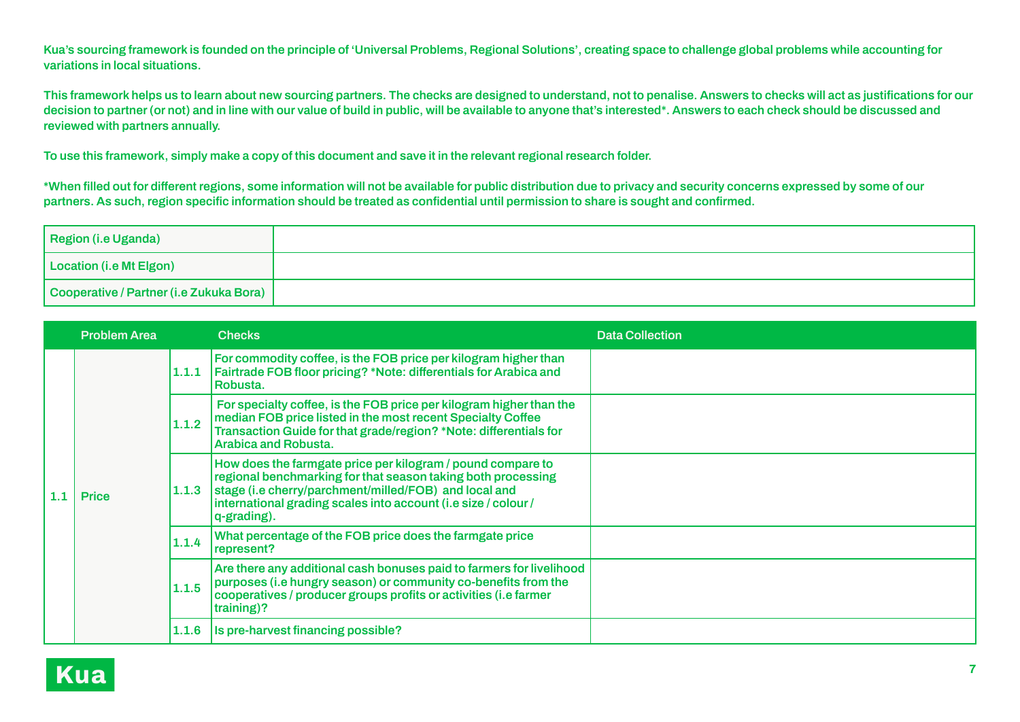Kua's sourcing framework is founded on the principle of 'Universal Problems, Regional Solutions', creating space to challenge global problems while accounting for **variations in local situations.**

This framework helps us to learn about new sourcing partners. The checks are designed to understand, not to penalise. Answers to checks will act as justifications for our decision to partner (or not) and in line with our value of build in public, will be available to anvone that's interested\*. Answers to each check should be discussed and **reviewed with partners annually.**

To use this framework, simply make a copy of this document and save it in the relevant regional research folder.

\*When filled out for different regions, some information will not be available for public distribution due to privacy and security concerns expressed by some of our partners. As such, region specific information should be treated as confidential until permission to share is sought and confirmed.

| <b>Region (i.e Uganda)</b>              |  |
|-----------------------------------------|--|
| Location (i.e Mt Elgon)                 |  |
| Cooperative / Partner (i.e Zukuka Bora) |  |

|         | <b>Problem Area</b> |       | <b>Checks</b>                                                                                                                                                                                                                                                         | <b>Data Collection</b> |
|---------|---------------------|-------|-----------------------------------------------------------------------------------------------------------------------------------------------------------------------------------------------------------------------------------------------------------------------|------------------------|
|         |                     | 1.1.1 | For commodity coffee, is the FOB price per kilogram higher than<br><b>Fairtrade FOB floor pricing? *Note: differentials for Arabica and</b><br>Robusta.                                                                                                               |                        |
| $1.1\,$ | <b>Price</b>        | 1.1.2 | For specialty coffee, is the FOB price per kilogram higher than the<br>median FOB price listed in the most recent Specialty Coffee<br>Transaction Guide for that grade/region? *Note: differentials for<br><b>Arabica and Robusta.</b>                                |                        |
|         |                     | 1.1.3 | How does the farmgate price per kilogram / pound compare to<br>regional benchmarking for that season taking both processing<br>stage (i.e cherry/parchment/milled/FOB) and local and<br>international grading scales into account (i.e size / colour /<br>q-grading). |                        |
|         |                     | 1.1.4 | What percentage of the FOB price does the farmgate price<br>represent?                                                                                                                                                                                                |                        |
|         |                     | 1.1.5 | Are there any additional cash bonuses paid to farmers for livelihood<br>purposes (i.e hungry season) or community co-benefits from the<br>cooperatives / producer groups profits or activities (i.e farmer<br>training)?                                              |                        |
|         |                     | 1.1.6 | Is pre-harvest financing possible?                                                                                                                                                                                                                                    |                        |

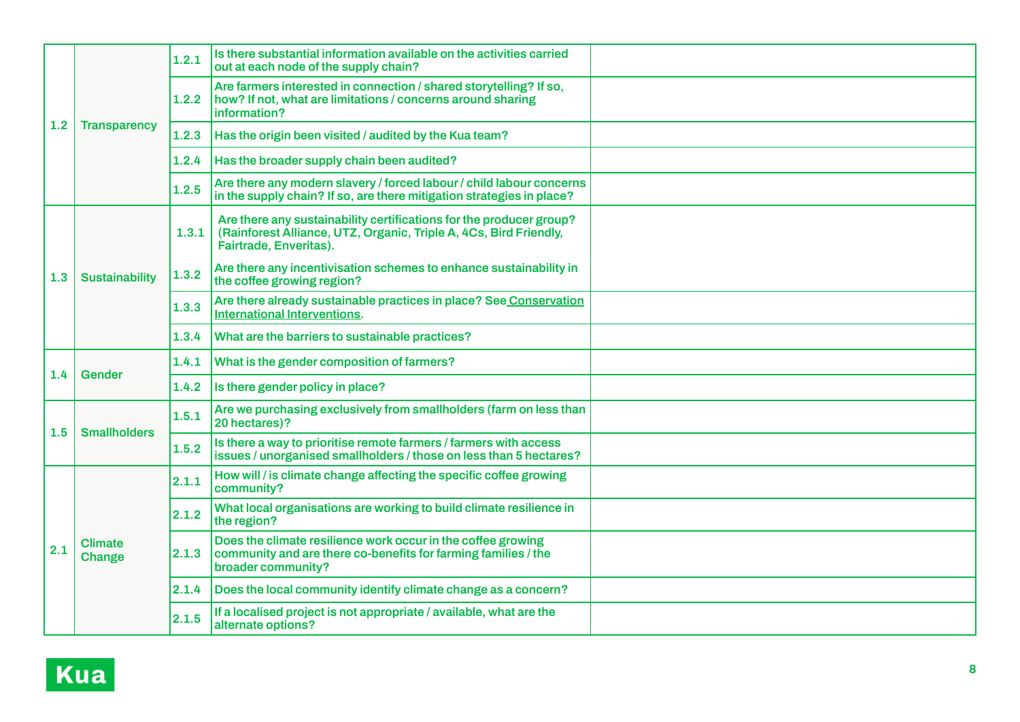| 1.2 | <b>Transparency</b>      | 1.2.1 | Is there substantial information available on the activities carried<br>out at each node of the supply chain?                                                      |  |
|-----|--------------------------|-------|--------------------------------------------------------------------------------------------------------------------------------------------------------------------|--|
|     |                          | 1.2.2 | Are farmers interested in connection / shared storytelling? If so,<br>how? If not, what are limitations / concerns around sharing<br>information?                  |  |
|     |                          | 1.2.3 | Has the origin been visited / audited by the Kua team?                                                                                                             |  |
|     |                          | 1.2.4 | Has the broader supply chain been audited?                                                                                                                         |  |
|     |                          | 1.2.5 | Are there any modern slavery / forced labour / child labour concerns<br>in the supply chain? If so, are there mitigation strategies in place?                      |  |
| 1.3 | <b>Sustainability</b>    | 1.3.1 | Are there any sustainability certifications for the producer group?<br>(Rainforest Alliance, UTZ, Organic, Triple A, 4Cs, Bird Friendly,<br>Fairtrade, Enveritas). |  |
|     |                          | 1.3.2 | Are there any incentivisation schemes to enhance sustainability in<br>the coffee growing region?                                                                   |  |
|     |                          | 1.3.3 | Are there already sustainable practices in place? See Conservation<br><b>International Interventions.</b>                                                          |  |
|     |                          | 1.3.4 | What are the barriers to sustainable practices?                                                                                                                    |  |
| 1.4 | <b>Gender</b>            | 1.4.1 | What is the gender composition of farmers?                                                                                                                         |  |
|     |                          | 1.4.2 | Is there gender policy in place?                                                                                                                                   |  |
| 1.5 | <b>Smallholders</b>      | 1.5.1 | Are we purchasing exclusively from smallholders (farm on less than<br>20 hectares)?                                                                                |  |
|     |                          | 1.5.2 | Is there a way to prioritise remote farmers / farmers with access<br>issues / unorganised smallholders / those on less than 5 hectares?                            |  |
|     | <b>Climate</b><br>Change | 2.1.1 | How will / is climate change affecting the specific coffee growing<br>community?                                                                                   |  |
| 2.1 |                          | 2.1.2 | What local organisations are working to build climate resilience in<br>the region?                                                                                 |  |
|     |                          | 2.1.3 | Does the climate resilience work occur in the coffee growing<br>community and are there co-benefits for farming families / the<br>broader community?               |  |
|     |                          | 2.1.4 | Does the local community identify climate change as a concern?                                                                                                     |  |
|     |                          | 2.1.5 | If a localised project is not appropriate / available, what are the<br>alternate options?                                                                          |  |